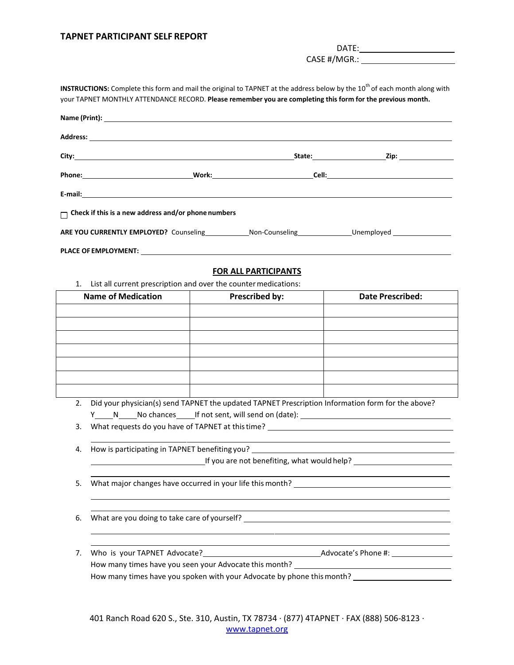## **TAPNET PARTICIPANT SELF REPORT**

DATE:

CASE #/MGR.:

**INSTRUCTIONS:** Complete this form and mail the original to TAPNET at the address below by the 10<sup>th</sup> of each month along with your TAPNET MONTHLY ATTENDANCE RECORD. **Please remember you are completing this form for the previous month.**

|                                                                       | Name (Print): <u>and the contract of the contract of the contract of the contract of the contract of the contract of</u> |                             |  |                         |  |  |  |
|-----------------------------------------------------------------------|--------------------------------------------------------------------------------------------------------------------------|-----------------------------|--|-------------------------|--|--|--|
|                                                                       |                                                                                                                          |                             |  |                         |  |  |  |
|                                                                       |                                                                                                                          |                             |  |                         |  |  |  |
|                                                                       |                                                                                                                          |                             |  |                         |  |  |  |
|                                                                       |                                                                                                                          |                             |  |                         |  |  |  |
|                                                                       | $\Box$ Check if this is a new address and/or phone numbers                                                               |                             |  |                         |  |  |  |
|                                                                       |                                                                                                                          |                             |  |                         |  |  |  |
|                                                                       |                                                                                                                          |                             |  |                         |  |  |  |
|                                                                       |                                                                                                                          | <b>FOR ALL PARTICIPANTS</b> |  |                         |  |  |  |
| List all current prescription and over the counter medications:<br>1. |                                                                                                                          |                             |  |                         |  |  |  |
|                                                                       | <b>Name of Medication</b>                                                                                                | <b>Prescribed by:</b>       |  | <b>Date Prescribed:</b> |  |  |  |
|                                                                       |                                                                                                                          |                             |  |                         |  |  |  |
|                                                                       |                                                                                                                          |                             |  |                         |  |  |  |
|                                                                       |                                                                                                                          |                             |  |                         |  |  |  |
|                                                                       |                                                                                                                          |                             |  |                         |  |  |  |
|                                                                       |                                                                                                                          |                             |  |                         |  |  |  |
|                                                                       |                                                                                                                          |                             |  |                         |  |  |  |
|                                                                       |                                                                                                                          |                             |  |                         |  |  |  |
| 2.                                                                    | Did your physician(s) send TAPNET the updated TAPNET Prescription Information form for the above?                        |                             |  |                         |  |  |  |
| 3.                                                                    | What requests do you have of TAPNET at this time? _______________________________                                        |                             |  |                         |  |  |  |
|                                                                       |                                                                                                                          |                             |  |                         |  |  |  |
| 4.                                                                    |                                                                                                                          |                             |  |                         |  |  |  |
|                                                                       |                                                                                                                          |                             |  |                         |  |  |  |
| 5.                                                                    | What major changes have occurred in your life this month?                                                                |                             |  |                         |  |  |  |
| 6.                                                                    | What are you doing to take care of yourself? ___________________________________                                         |                             |  |                         |  |  |  |
| 7.                                                                    |                                                                                                                          |                             |  |                         |  |  |  |
|                                                                       | How many times have you spoken with your Advocate by phone this month? ____________________________                      |                             |  |                         |  |  |  |